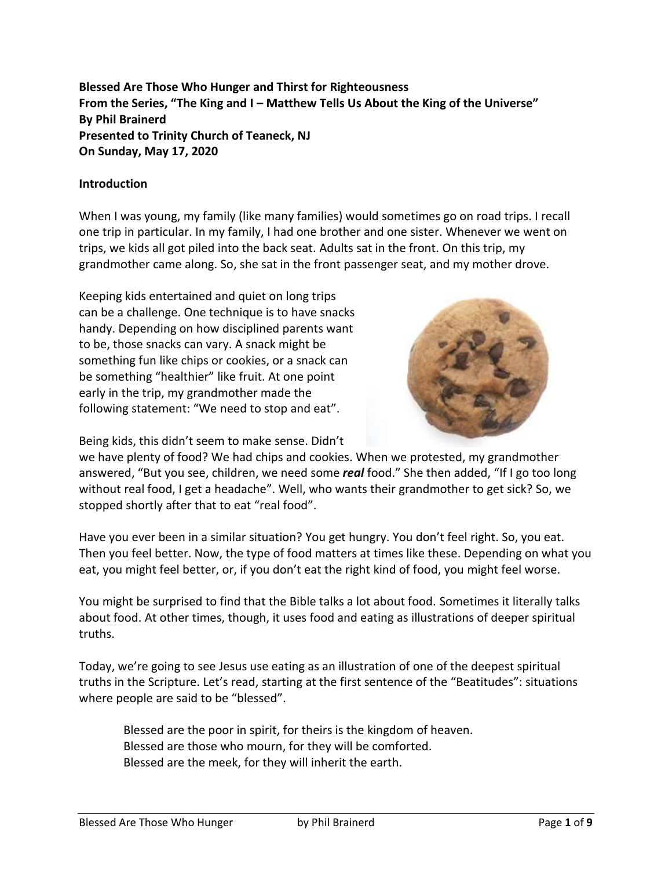**Blessed Are Those Who Hunger and Thirst for Righteousness From the Series, "The King and I – Matthew Tells Us About the King of the Universe" By Phil Brainerd Presented to Trinity Church of Teaneck, NJ On Sunday, May 17, 2020**

#### **Introduction**

When I was young, my family (like many families) would sometimes go on road trips. I recall one trip in particular. In my family, I had one brother and one sister. Whenever we went on trips, we kids all got piled into the back seat. Adults sat in the front. On this trip, my grandmother came along. So, she sat in the front passenger seat, and my mother drove.

Keeping kids entertained and quiet on long trips can be a challenge. One technique is to have snacks handy. Depending on how disciplined parents want to be, those snacks can vary. A snack might be something fun like chips or cookies, or a snack can be something "healthier" like fruit. At one point early in the trip, my grandmother made the following statement: "We need to stop and eat".

Being kids, this didn't seem to make sense. Didn't



we have plenty of food? We had chips and cookies. When we protested, my grandmother answered, "But you see, children, we need some *real* food." She then added, "If I go too long without real food, I get a headache". Well, who wants their grandmother to get sick? So, we stopped shortly after that to eat "real food".

Have you ever been in a similar situation? You get hungry. You don't feel right. So, you eat. Then you feel better. Now, the type of food matters at times like these. Depending on what you eat, you might feel better, or, if you don't eat the right kind of food, you might feel worse.

You might be surprised to find that the Bible talks a lot about food. Sometimes it literally talks about food. At other times, though, it uses food and eating as illustrations of deeper spiritual truths.

Today, we're going to see Jesus use eating as an illustration of one of the deepest spiritual truths in the Scripture. Let's read, starting at the first sentence of the "Beatitudes": situations where people are said to be "blessed".

Blessed are the poor in spirit, for theirs is the kingdom of heaven. Blessed are those who mourn, for they will be comforted. Blessed are the meek, for they will inherit the earth.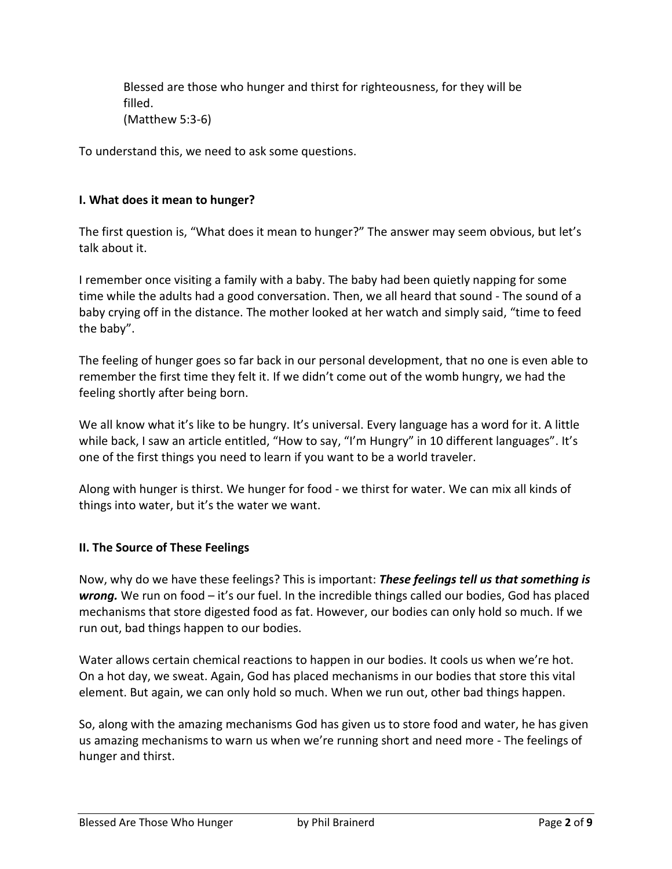Blessed are those who hunger and thirst for righteousness, for they will be filled. (Matthew 5:3-6)

To understand this, we need to ask some questions.

#### **I. What does it mean to hunger?**

The first question is, "What does it mean to hunger?" The answer may seem obvious, but let's talk about it.

I remember once visiting a family with a baby. The baby had been quietly napping for some time while the adults had a good conversation. Then, we all heard that sound - The sound of a baby crying off in the distance. The mother looked at her watch and simply said, "time to feed the baby".

The feeling of hunger goes so far back in our personal development, that no one is even able to remember the first time they felt it. If we didn't come out of the womb hungry, we had the feeling shortly after being born.

We all know what it's like to be hungry. It's universal. Every language has a word for it. A little while back, I saw an article entitled, "How to say, "I'm Hungry" in 10 different languages". It's one of the first things you need to learn if you want to be a world traveler.

Along with hunger is thirst. We hunger for food - we thirst for water. We can mix all kinds of things into water, but it's the water we want.

#### **II. The Source of These Feelings**

Now, why do we have these feelings? This is important: *These feelings tell us that something is wrong.* We run on food – it's our fuel. In the incredible things called our bodies, God has placed mechanisms that store digested food as fat. However, our bodies can only hold so much. If we run out, bad things happen to our bodies.

Water allows certain chemical reactions to happen in our bodies. It cools us when we're hot. On a hot day, we sweat. Again, God has placed mechanisms in our bodies that store this vital element. But again, we can only hold so much. When we run out, other bad things happen.

So, along with the amazing mechanisms God has given us to store food and water, he has given us amazing mechanisms to warn us when we're running short and need more - The feelings of hunger and thirst.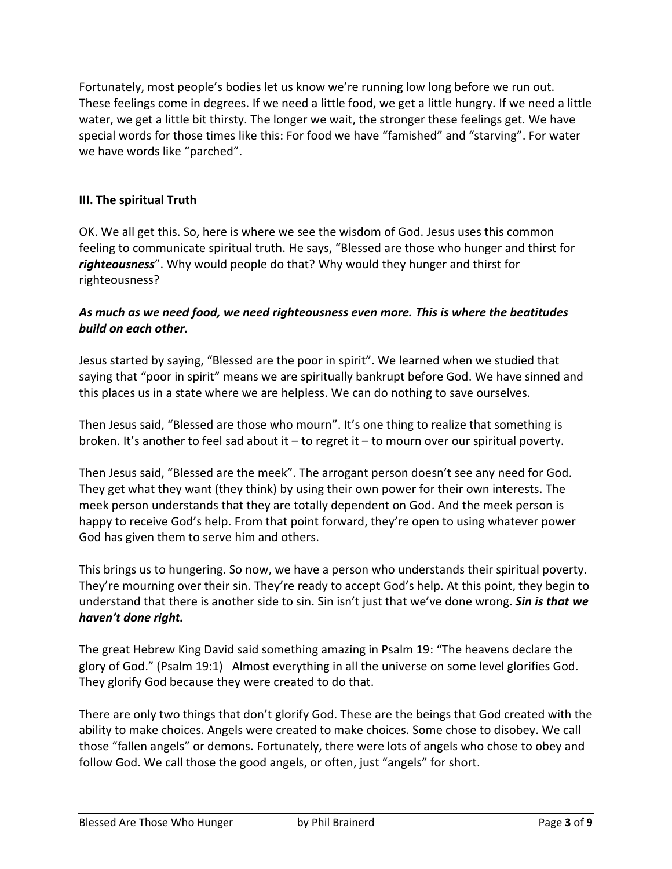Fortunately, most people's bodies let us know we're running low long before we run out. These feelings come in degrees. If we need a little food, we get a little hungry. If we need a little water, we get a little bit thirsty. The longer we wait, the stronger these feelings get. We have special words for those times like this: For food we have "famished" and "starving". For water we have words like "parched".

# **III. The spiritual Truth**

OK. We all get this. So, here is where we see the wisdom of God. Jesus uses this common feeling to communicate spiritual truth. He says, "Blessed are those who hunger and thirst for *righteousness*". Why would people do that? Why would they hunger and thirst for righteousness?

### *As much as we need food, we need righteousness even more. This is where the beatitudes build on each other.*

Jesus started by saying, "Blessed are the poor in spirit". We learned when we studied that saying that "poor in spirit" means we are spiritually bankrupt before God. We have sinned and this places us in a state where we are helpless. We can do nothing to save ourselves.

Then Jesus said, "Blessed are those who mourn". It's one thing to realize that something is broken. It's another to feel sad about it – to regret it – to mourn over our spiritual poverty.

Then Jesus said, "Blessed are the meek". The arrogant person doesn't see any need for God. They get what they want (they think) by using their own power for their own interests. The meek person understands that they are totally dependent on God. And the meek person is happy to receive God's help. From that point forward, they're open to using whatever power God has given them to serve him and others.

This brings us to hungering. So now, we have a person who understands their spiritual poverty. They're mourning over their sin. They're ready to accept God's help. At this point, they begin to understand that there is another side to sin. Sin isn't just that we've done wrong. *Sin is that we haven't done right.*

The great Hebrew King David said something amazing in Psalm 19: "The heavens declare the glory of God." (Psalm 19:1) Almost everything in all the universe on some level glorifies God. They glorify God because they were created to do that.

There are only two things that don't glorify God. These are the beings that God created with the ability to make choices. Angels were created to make choices. Some chose to disobey. We call those "fallen angels" or demons. Fortunately, there were lots of angels who chose to obey and follow God. We call those the good angels, or often, just "angels" for short.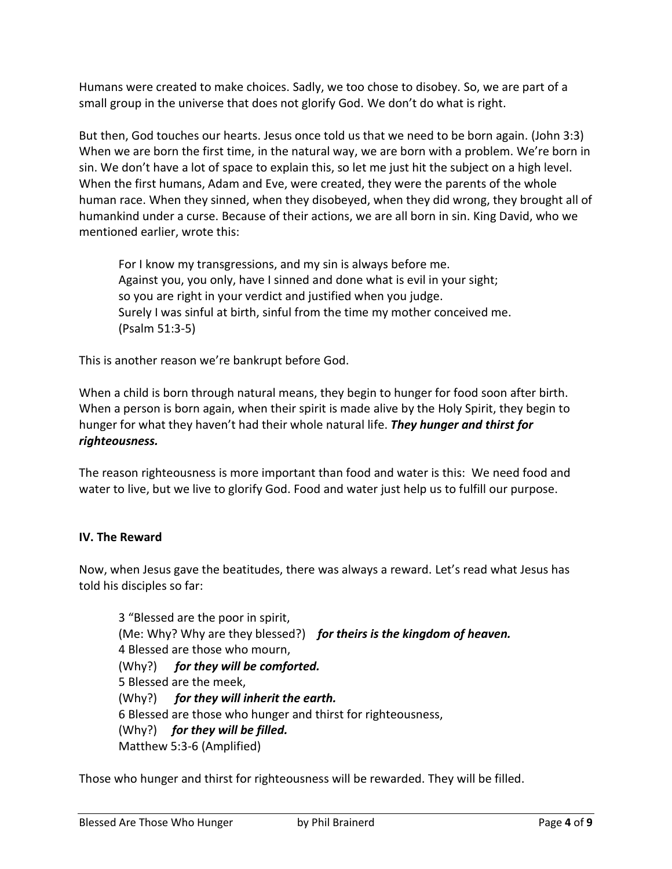Humans were created to make choices. Sadly, we too chose to disobey. So, we are part of a small group in the universe that does not glorify God. We don't do what is right.

But then, God touches our hearts. Jesus once told us that we need to be born again. (John 3:3) When we are born the first time, in the natural way, we are born with a problem. We're born in sin. We don't have a lot of space to explain this, so let me just hit the subject on a high level. When the first humans, Adam and Eve, were created, they were the parents of the whole human race. When they sinned, when they disobeyed, when they did wrong, they brought all of humankind under a curse. Because of their actions, we are all born in sin. King David, who we mentioned earlier, wrote this:

For I know my transgressions, and my sin is always before me. Against you, you only, have I sinned and done what is evil in your sight; so you are right in your verdict and justified when you judge. Surely I was sinful at birth, sinful from the time my mother conceived me. (Psalm 51:3-5)

This is another reason we're bankrupt before God.

When a child is born through natural means, they begin to hunger for food soon after birth. When a person is born again, when their spirit is made alive by the Holy Spirit, they begin to hunger for what they haven't had their whole natural life. *They hunger and thirst for righteousness.*

The reason righteousness is more important than food and water is this: We need food and water to live, but we live to glorify God. Food and water just help us to fulfill our purpose.

# **IV. The Reward**

Now, when Jesus gave the beatitudes, there was always a reward. Let's read what Jesus has told his disciples so far:

3 "Blessed are the poor in spirit, (Me: Why? Why are they blessed?) *for theirs is the kingdom of heaven.* 4 Blessed are those who mourn, (Why?) *for they will be comforted.* 5 Blessed are the meek, (Why?) *for they will inherit the earth.* 6 Blessed are those who hunger and thirst for righteousness, (Why?) *for they will be filled.* Matthew 5:3-6 (Amplified)

Those who hunger and thirst for righteousness will be rewarded. They will be filled.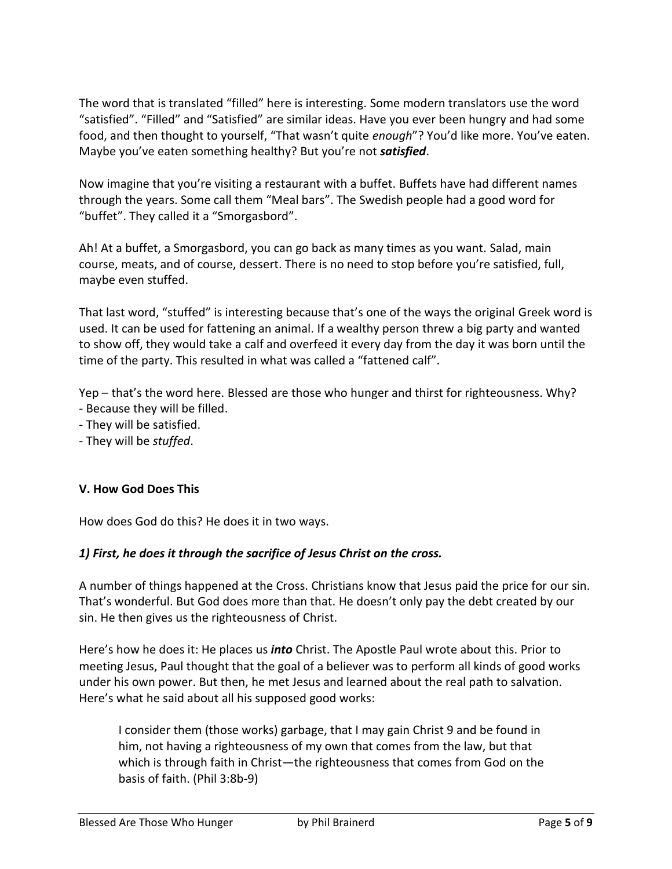The word that is translated "filled" here is interesting. Some modern translators use the word "satisfied". "Filled" and "Satisfied" are similar ideas. Have you ever been hungry and had some food, and then thought to yourself, "That wasn't quite *enough*"? You'd like more. You've eaten. Maybe you've eaten something healthy? But you're not *satisfied*.

Now imagine that you're visiting a restaurant with a buffet. Buffets have had different names through the years. Some call them "Meal bars". The Swedish people had a good word for "buffet". They called it a "Smorgasbord".

Ah! At a buffet, a Smorgasbord, you can go back as many times as you want. Salad, main course, meats, and of course, dessert. There is no need to stop before you're satisfied, full, maybe even stuffed.

That last word, "stuffed" is interesting because that's one of the ways the original Greek word is used. It can be used for fattening an animal. If a wealthy person threw a big party and wanted to show off, they would take a calf and overfeed it every day from the day it was born until the time of the party. This resulted in what was called a "fattened calf".

Yep – that's the word here. Blessed are those who hunger and thirst for righteousness. Why? - Because they will be filled.

- They will be satisfied.
- They will be *stuffed*.

#### **V. How God Does This**

How does God do this? He does it in two ways.

#### *1) First, he does it through the sacrifice of Jesus Christ on the cross.*

A number of things happened at the Cross. Christians know that Jesus paid the price for our sin. That's wonderful. But God does more than that. He doesn't only pay the debt created by our sin. He then gives us the righteousness of Christ.

Here's how he does it: He places us *into* Christ. The Apostle Paul wrote about this. Prior to meeting Jesus, Paul thought that the goal of a believer was to perform all kinds of good works under his own power. But then, he met Jesus and learned about the real path to salvation. Here's what he said about all his supposed good works:

I consider them (those works) garbage, that I may gain Christ 9 and be found in him, not having a righteousness of my own that comes from the law, but that which is through faith in Christ—the righteousness that comes from God on the basis of faith. (Phil 3:8b-9)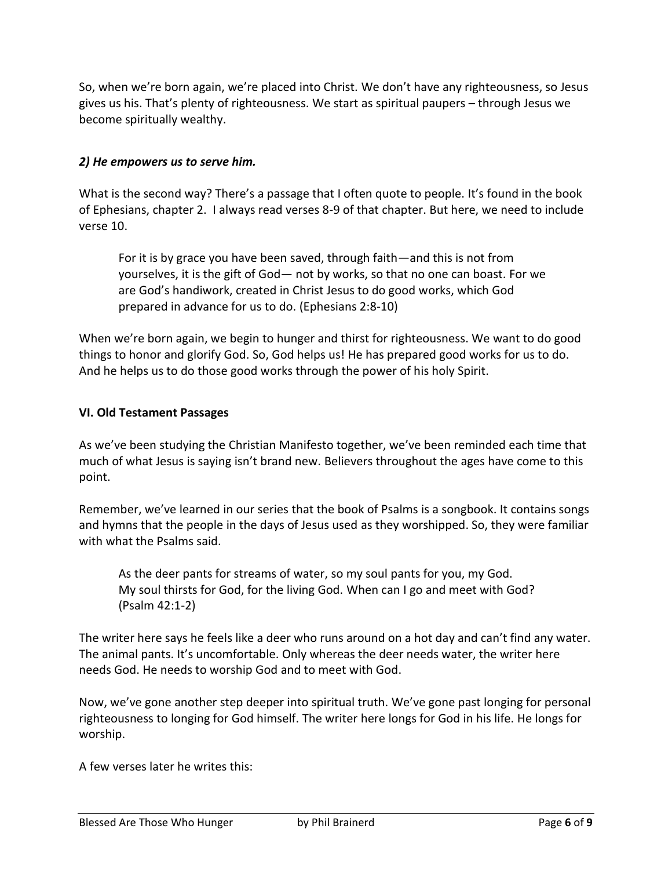So, when we're born again, we're placed into Christ. We don't have any righteousness, so Jesus gives us his. That's plenty of righteousness. We start as spiritual paupers – through Jesus we become spiritually wealthy.

### *2) He empowers us to serve him.*

What is the second way? There's a passage that I often quote to people. It's found in the book of Ephesians, chapter 2. I always read verses 8-9 of that chapter. But here, we need to include verse 10.

For it is by grace you have been saved, through faith—and this is not from yourselves, it is the gift of God— not by works, so that no one can boast. For we are God's handiwork, created in Christ Jesus to do good works, which God prepared in advance for us to do. (Ephesians 2:8-10)

When we're born again, we begin to hunger and thirst for righteousness. We want to do good things to honor and glorify God. So, God helps us! He has prepared good works for us to do. And he helps us to do those good works through the power of his holy Spirit.

#### **VI. Old Testament Passages**

As we've been studying the Christian Manifesto together, we've been reminded each time that much of what Jesus is saying isn't brand new. Believers throughout the ages have come to this point.

Remember, we've learned in our series that the book of Psalms is a songbook. It contains songs and hymns that the people in the days of Jesus used as they worshipped. So, they were familiar with what the Psalms said.

As the deer pants for streams of water, so my soul pants for you, my God. My soul thirsts for God, for the living God. When can I go and meet with God? (Psalm 42:1-2)

The writer here says he feels like a deer who runs around on a hot day and can't find any water. The animal pants. It's uncomfortable. Only whereas the deer needs water, the writer here needs God. He needs to worship God and to meet with God.

Now, we've gone another step deeper into spiritual truth. We've gone past longing for personal righteousness to longing for God himself. The writer here longs for God in his life. He longs for worship.

A few verses later he writes this: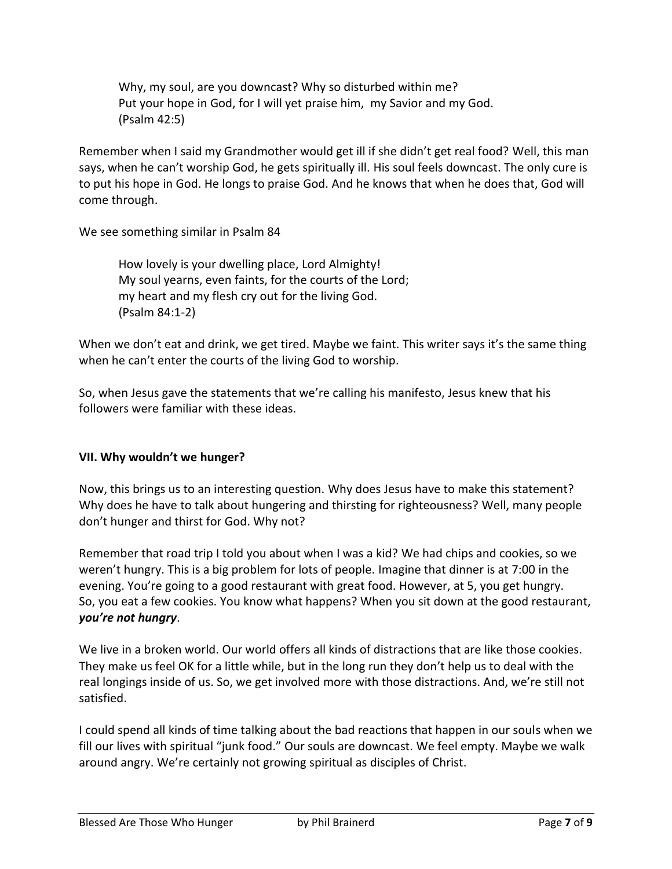Why, my soul, are you downcast? Why so disturbed within me? Put your hope in God, for I will yet praise him, my Savior and my God. (Psalm 42:5)

Remember when I said my Grandmother would get ill if she didn't get real food? Well, this man says, when he can't worship God, he gets spiritually ill. His soul feels downcast. The only cure is to put his hope in God. He longs to praise God. And he knows that when he does that, God will come through.

We see something similar in Psalm 84

How lovely is your dwelling place, Lord Almighty! My soul yearns, even faints, for the courts of the Lord; my heart and my flesh cry out for the living God. (Psalm 84:1-2)

When we don't eat and drink, we get tired. Maybe we faint. This writer says it's the same thing when he can't enter the courts of the living God to worship.

So, when Jesus gave the statements that we're calling his manifesto, Jesus knew that his followers were familiar with these ideas.

#### **VII. Why wouldn't we hunger?**

Now, this brings us to an interesting question. Why does Jesus have to make this statement? Why does he have to talk about hungering and thirsting for righteousness? Well, many people don't hunger and thirst for God. Why not?

Remember that road trip I told you about when I was a kid? We had chips and cookies, so we weren't hungry. This is a big problem for lots of people. Imagine that dinner is at 7:00 in the evening. You're going to a good restaurant with great food. However, at 5, you get hungry. So, you eat a few cookies. You know what happens? When you sit down at the good restaurant, *you're not hungry*.

We live in a broken world. Our world offers all kinds of distractions that are like those cookies. They make us feel OK for a little while, but in the long run they don't help us to deal with the real longings inside of us. So, we get involved more with those distractions. And, we're still not satisfied.

I could spend all kinds of time talking about the bad reactions that happen in our souls when we fill our lives with spiritual "junk food." Our souls are downcast. We feel empty. Maybe we walk around angry. We're certainly not growing spiritual as disciples of Christ.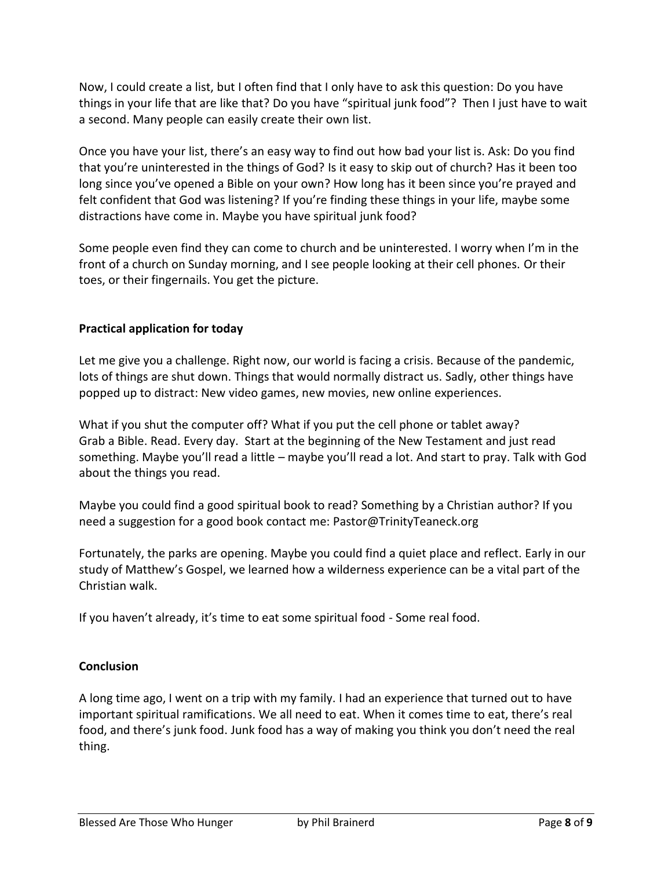Now, I could create a list, but I often find that I only have to ask this question: Do you have things in your life that are like that? Do you have "spiritual junk food"? Then I just have to wait a second. Many people can easily create their own list.

Once you have your list, there's an easy way to find out how bad your list is. Ask: Do you find that you're uninterested in the things of God? Is it easy to skip out of church? Has it been too long since you've opened a Bible on your own? How long has it been since you're prayed and felt confident that God was listening? If you're finding these things in your life, maybe some distractions have come in. Maybe you have spiritual junk food?

Some people even find they can come to church and be uninterested. I worry when I'm in the front of a church on Sunday morning, and I see people looking at their cell phones. Or their toes, or their fingernails. You get the picture.

# **Practical application for today**

Let me give you a challenge. Right now, our world is facing a crisis. Because of the pandemic, lots of things are shut down. Things that would normally distract us. Sadly, other things have popped up to distract: New video games, new movies, new online experiences.

What if you shut the computer off? What if you put the cell phone or tablet away? Grab a Bible. Read. Every day. Start at the beginning of the New Testament and just read something. Maybe you'll read a little – maybe you'll read a lot. And start to pray. Talk with God about the things you read.

Maybe you could find a good spiritual book to read? Something by a Christian author? If you need a suggestion for a good book contact me: Pastor@TrinityTeaneck.org

Fortunately, the parks are opening. Maybe you could find a quiet place and reflect. Early in our study of Matthew's Gospel, we learned how a wilderness experience can be a vital part of the Christian walk.

If you haven't already, it's time to eat some spiritual food - Some real food.

# **Conclusion**

A long time ago, I went on a trip with my family. I had an experience that turned out to have important spiritual ramifications. We all need to eat. When it comes time to eat, there's real food, and there's junk food. Junk food has a way of making you think you don't need the real thing.